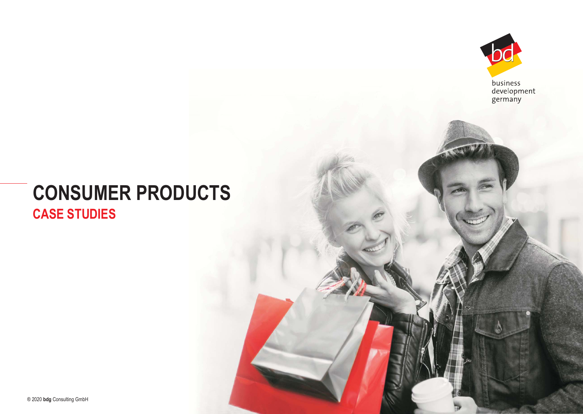

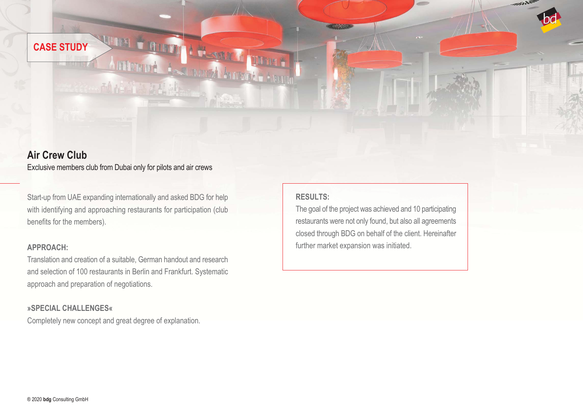## **Air Crew Club**

Exclusive members club from Dubai only for pilots and air crews

Start-up from UAE expanding internationally and asked BDG for help with identifying and approaching restaurants for participation (club benefits for the members).

**WARN & CONTRACT** 

动情情感到精神

A Milanova A Company

Translation and creation of a suitable, German handout and research and selection of 100 restaurants in Berlin and Frankfurt. Systematic approach and preparation of negotiations.

#### **»SPECIAL CHALLENGES«**

Completely new concept and great degree of explanation.

#### **RESULTS:**

**ANOTHER ANOTHER** 

The goal of the project was achieved and 10 participating restaurants were not only found, but also all agreements closed through BDG on behalf of the client. Hereinafter **APPROACH: APPROACH: APPROACH:** *APPROACH: APPROACH: APPROACH: APPROACH: APPROACH: APPROACH: APPROACH: APPROACH: APPROACH: APPROACH: APPROACH: APPROACH: APPROACH: AP* 

 $\mathscr{M}^{\mathbb{N}}$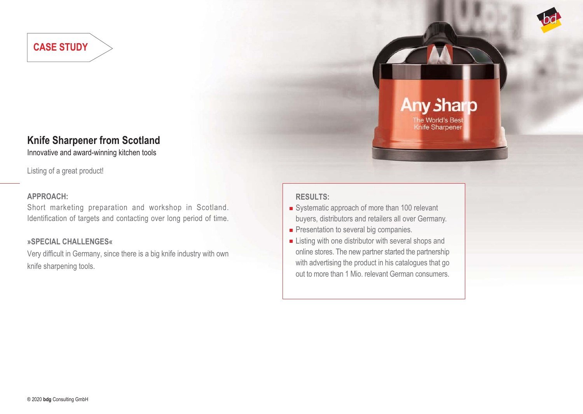# **Knife Sharpener from Scotland**

Innovative and award-winning kitchen tools

Listing of a great product!

#### **APPROACH:**

Short marketing preparation and workshop in Scotland. Identification of targets and contacting over long period of time.

#### **»SPECIAL CHALLENGES«**

Very difficult in Germany, since there is a big knife industry with own knife sharpening tools.

## **RESULTS:**

Systematic approach of more than 100 relevant buyers, distributors and retailers all over Germany.

**Any sharp** 

The World's Best **Knife Sharpener** 

- Presentation to several big companies.
- **Example 1** Listing with one distributor with several shops and online stores. The new partner started the partnership with advertising the product in his catalogues that go out to more than 1 Mio. relevant German consumers.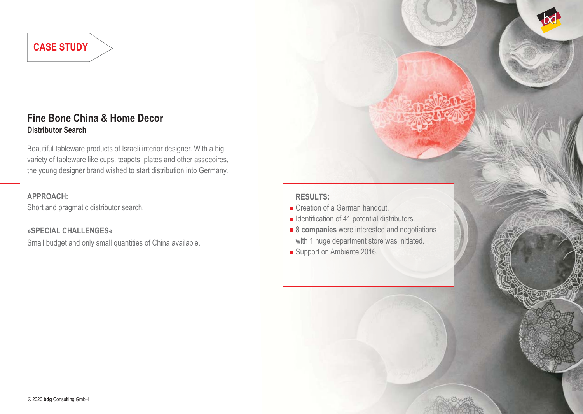## **Fine Bone China & Home Decor Distributor Search**

Beautiful tableware products of Israeli interior designer. With a big variety of tableware like cups, teapots, plates and other assecoires, the young designer brand wished to start distribution into Germany.

#### **APPROACH:**

Short and pragmatic distributor search.

**»SPECIAL CHALLENGES«**

Small budget and only small quantities of China available.

#### **RESULTS:**

- Creation of a German handout.
- $\blacksquare$  Identification of 41 potential distributors.
- **8 companies** were interested and negotiations with 1 huge department store was initiated.
- Support on Ambiente 2016.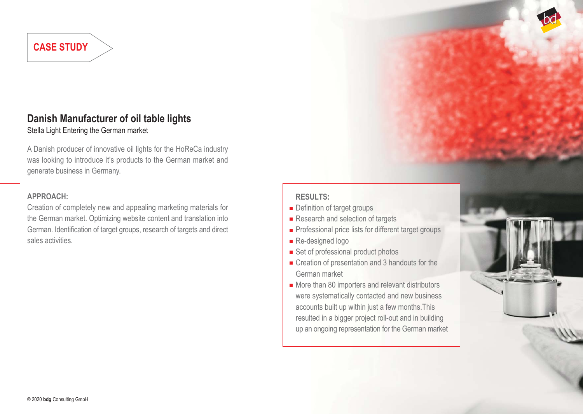# **Danish Manufacturer of oil table lights**

Stella Light Entering the German market

A Danish producer of innovative oil lights for the HoReCa industry was looking to introduce it's products to the German market and generate business in Germany.

#### **APPROACH:**

Creation of completely new and appealing marketing materials for the German market. Optimizing website content and translation into German. Identification of target groups, research of targets and direct sales activities.

## **RESULTS:**

- **Definition of target groups**
- Research and selection of targets
- **Professional price lists for different target groups**
- Re-designed logo
- Set of professional product photos
- Creation of presentation and 3 handouts for the German market
- More than 80 importers and relevant distributors were systematically contacted and new business accounts built up within just a few months.This resulted in a bigger project roll-out and in building up an ongoing representation for the German market